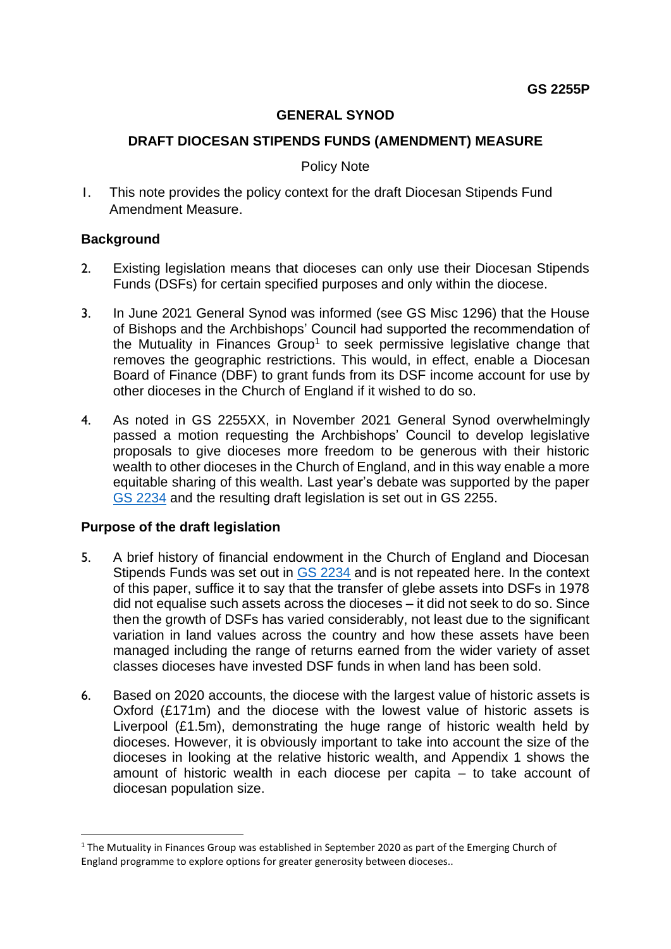## **GENERAL SYNOD**

## **DRAFT DIOCESAN STIPENDS FUNDS (AMENDMENT) MEASURE**

#### Policy Note

1. This note provides the policy context for the draft Diocesan Stipends Fund Amendment Measure.

#### **Background**

- 2. Existing legislation means that dioceses can only use their Diocesan Stipends Funds (DSFs) for certain specified purposes and only within the diocese.
- 3. In June 2021 General Synod was informed (see GS Misc 1296) that the House of Bishops and the Archbishops' Council had supported the recommendation of the Mutuality in Finances Group<sup>1</sup> to seek permissive legislative change that removes the geographic restrictions. This would, in effect, enable a Diocesan Board of Finance (DBF) to grant funds from its DSF income account for use by other dioceses in the Church of England if it wished to do so.
- 4. As noted in GS 2255XX, in November 2021 General Synod overwhelmingly passed a motion requesting the Archbishops' Council to develop legislative proposals to give dioceses more freedom to be generous with their historic wealth to other dioceses in the Church of England, and in this way enable a more equitable sharing of this wealth. Last year's debate was supported by the paper [GS 2234](https://www.churchofengland.org/sites/default/files/2021-10/GS%202234%20Generosity%20and%20Diocesan%20Finances.pdf) and the resulting draft legislation is set out in GS 2255.

## **Purpose of the draft legislation**

- 5. A brief history of financial endowment in the Church of England and Diocesan Stipends Funds was set out in [GS 2234](https://www.churchofengland.org/sites/default/files/2021-10/GS%202234%20Generosity%20and%20Diocesan%20Finances.pdf) and is not repeated here. In the context of this paper, suffice it to say that the transfer of glebe assets into DSFs in 1978 did not equalise such assets across the dioceses – it did not seek to do so. Since then the growth of DSFs has varied considerably, not least due to the significant variation in land values across the country and how these assets have been managed including the range of returns earned from the wider variety of asset classes dioceses have invested DSF funds in when land has been sold.
- 6. Based on 2020 accounts, the diocese with the largest value of historic assets is Oxford (£171m) and the diocese with the lowest value of historic assets is Liverpool (£1.5m), demonstrating the huge range of historic wealth held by dioceses. However, it is obviously important to take into account the size of the dioceses in looking at the relative historic wealth, and Appendix 1 shows the amount of historic wealth in each diocese per capita – to take account of diocesan population size.

 $1$  The Mutuality in Finances Group was established in September 2020 as part of the Emerging Church of England programme to explore options for greater generosity between dioceses..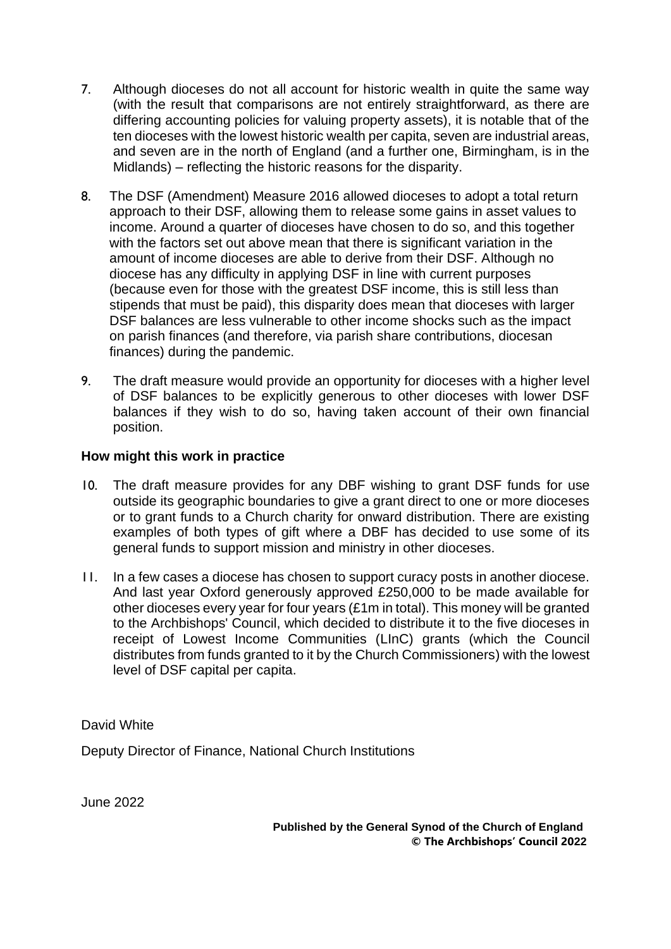- 7. Although dioceses do not all account for historic wealth in quite the same way (with the result that comparisons are not entirely straightforward, as there are differing accounting policies for valuing property assets), it is notable that of the ten dioceses with the lowest historic wealth per capita, seven are industrial areas, and seven are in the north of England (and a further one, Birmingham, is in the Midlands) – reflecting the historic reasons for the disparity.
- 8. The DSF (Amendment) Measure 2016 allowed dioceses to adopt a total return approach to their DSF, allowing them to release some gains in asset values to income. Around a quarter of dioceses have chosen to do so, and this together with the factors set out above mean that there is significant variation in the amount of income dioceses are able to derive from their DSF. Although no diocese has any difficulty in applying DSF in line with current purposes (because even for those with the greatest DSF income, this is still less than stipends that must be paid), this disparity does mean that dioceses with larger DSF balances are less vulnerable to other income shocks such as the impact on parish finances (and therefore, via parish share contributions, diocesan finances) during the pandemic.
- 9. The draft measure would provide an opportunity for dioceses with a higher level of DSF balances to be explicitly generous to other dioceses with lower DSF balances if they wish to do so, having taken account of their own financial position.

## **How might this work in practice**

- 10. The draft measure provides for any DBF wishing to grant DSF funds for use outside its geographic boundaries to give a grant direct to one or more dioceses or to grant funds to a Church charity for onward distribution. There are existing examples of both types of gift where a DBF has decided to use some of its general funds to support mission and ministry in other dioceses.
- 11. In a few cases a diocese has chosen to support curacy posts in another diocese. And last year Oxford generously approved £250,000 to be made available for other dioceses every year for four years (£1m in total). This money will be granted to the Archbishops' Council, which decided to distribute it to the five dioceses in receipt of Lowest Income Communities (LInC) grants (which the Council distributes from funds granted to it by the Church Commissioners) with the lowest level of DSF capital per capita.

David White

Deputy Director of Finance, National Church Institutions

June 2022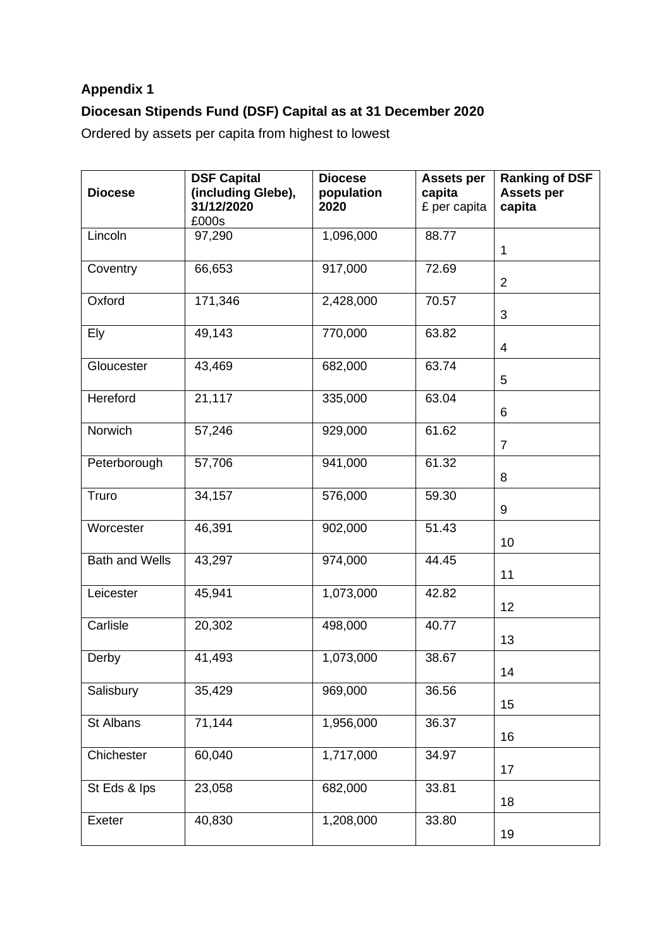# **Appendix 1 Diocesan Stipends Fund (DSF) Capital as at 31 December 2020**

Ordered by assets per capita from highest to lowest

| <b>Diocese</b>        | <b>DSF Capital</b><br>(including Glebe),<br>31/12/2020<br>£000s | <b>Diocese</b><br>population<br>2020 | <b>Assets per</b><br>capita<br>£ per capita | <b>Ranking of DSF</b><br><b>Assets per</b><br>capita |
|-----------------------|-----------------------------------------------------------------|--------------------------------------|---------------------------------------------|------------------------------------------------------|
| Lincoln               | 97,290                                                          | 1,096,000                            | 88.77                                       | $\mathbf{1}$                                         |
| Coventry              | 66,653                                                          | 917,000                              | 72.69                                       | $\overline{2}$                                       |
| Oxford                | 171,346                                                         | 2,428,000                            | 70.57                                       | 3                                                    |
| Ely                   | 49,143                                                          | 770,000                              | 63.82                                       | $\overline{4}$                                       |
| Gloucester            | 43,469                                                          | 682,000                              | 63.74                                       | 5                                                    |
| Hereford              | 21,117                                                          | 335,000                              | 63.04                                       | 6                                                    |
| Norwich               | 57,246                                                          | 929,000                              | 61.62                                       | $\overline{7}$                                       |
| Peterborough          | 57,706                                                          | 941,000                              | 61.32                                       | 8                                                    |
| Truro                 | 34,157                                                          | 576,000                              | 59.30                                       | 9                                                    |
| Worcester             | 46,391                                                          | 902,000                              | 51.43                                       | 10                                                   |
| <b>Bath and Wells</b> | 43,297                                                          | 974,000                              | 44.45                                       | 11                                                   |
| Leicester             | 45,941                                                          | 1,073,000                            | 42.82                                       | 12                                                   |
| Carlisle              | 20,302                                                          | 498,000                              | 40.77                                       | 13                                                   |
| Derby                 | 41,493                                                          | 1,073,000                            | 38.67                                       | 14                                                   |
| Salisbury             | 35,429                                                          | 969,000                              | 36.56                                       | 15                                                   |
| St Albans             | $\overline{71,144}$                                             | 1,956,000                            | 36.37                                       | 16                                                   |
| Chichester            | 60,040                                                          | 1,717,000                            | 34.97                                       | 17                                                   |
| St Eds & Ips          | 23,058                                                          | 682,000                              | 33.81                                       | 18                                                   |
| Exeter                | 40,830                                                          | 1,208,000                            | 33.80                                       | 19                                                   |